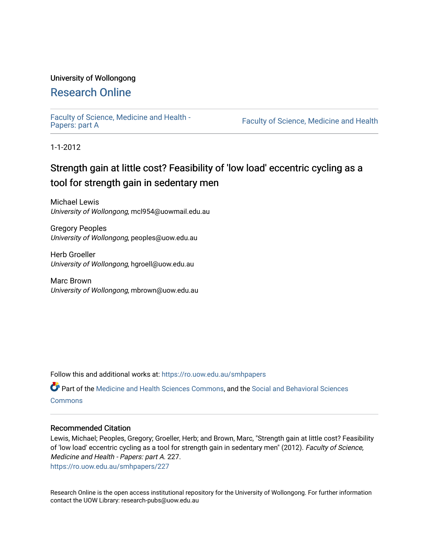## University of Wollongong

# [Research Online](https://ro.uow.edu.au/)

[Faculty of Science, Medicine and Health -](https://ro.uow.edu.au/smhpapers) Papers: part A

Faculty of Science, Medicine and Health

1-1-2012

# Strength gain at little cost? Feasibility of 'low load' eccentric cycling as a tool for strength gain in sedentary men

Michael Lewis University of Wollongong, mcl954@uowmail.edu.au

Gregory Peoples University of Wollongong, peoples@uow.edu.au

Herb Groeller University of Wollongong, hgroell@uow.edu.au

Marc Brown University of Wollongong, mbrown@uow.edu.au

Follow this and additional works at: [https://ro.uow.edu.au/smhpapers](https://ro.uow.edu.au/smhpapers?utm_source=ro.uow.edu.au%2Fsmhpapers%2F227&utm_medium=PDF&utm_campaign=PDFCoverPages) 

Part of the [Medicine and Health Sciences Commons,](http://network.bepress.com/hgg/discipline/648?utm_source=ro.uow.edu.au%2Fsmhpapers%2F227&utm_medium=PDF&utm_campaign=PDFCoverPages) and the [Social and Behavioral Sciences](http://network.bepress.com/hgg/discipline/316?utm_source=ro.uow.edu.au%2Fsmhpapers%2F227&utm_medium=PDF&utm_campaign=PDFCoverPages) **[Commons](http://network.bepress.com/hgg/discipline/316?utm_source=ro.uow.edu.au%2Fsmhpapers%2F227&utm_medium=PDF&utm_campaign=PDFCoverPages)** 

#### Recommended Citation

Lewis, Michael; Peoples, Gregory; Groeller, Herb; and Brown, Marc, "Strength gain at little cost? Feasibility of 'low load' eccentric cycling as a tool for strength gain in sedentary men" (2012). Faculty of Science, Medicine and Health - Papers: part A. 227.

[https://ro.uow.edu.au/smhpapers/227](https://ro.uow.edu.au/smhpapers/227?utm_source=ro.uow.edu.au%2Fsmhpapers%2F227&utm_medium=PDF&utm_campaign=PDFCoverPages) 

Research Online is the open access institutional repository for the University of Wollongong. For further information contact the UOW Library: research-pubs@uow.edu.au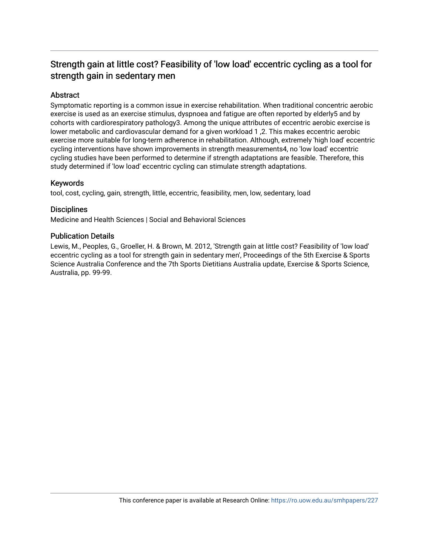# Strength gain at little cost? Feasibility of 'low load' eccentric cycling as a tool for strength gain in sedentary men

## Abstract

Symptomatic reporting is a common issue in exercise rehabilitation. When traditional concentric aerobic exercise is used as an exercise stimulus, dyspnoea and fatigue are often reported by elderly5 and by cohorts with cardiorespiratory pathology3. Among the unique attributes of eccentric aerobic exercise is lower metabolic and cardiovascular demand for a given workload 1 ,2. This makes eccentric aerobic exercise more suitable for long-term adherence in rehabilitation. Although, extremely 'high load' eccentric cycling interventions have shown improvements in strength measurements4, no 'low load' eccentric cycling studies have been performed to determine if strength adaptations are feasible. Therefore, this study determined if 'low load' eccentric cycling can stimulate strength adaptations.

### Keywords

tool, cost, cycling, gain, strength, little, eccentric, feasibility, men, low, sedentary, load

### **Disciplines**

Medicine and Health Sciences | Social and Behavioral Sciences

### Publication Details

Lewis, M., Peoples, G., Groeller, H. & Brown, M. 2012, 'Strength gain at little cost? Feasibility of 'low load' eccentric cycling as a tool for strength gain in sedentary men', Proceedings of the 5th Exercise & Sports Science Australia Conference and the 7th Sports Dietitians Australia update, Exercise & Sports Science, Australia, pp. 99-99.